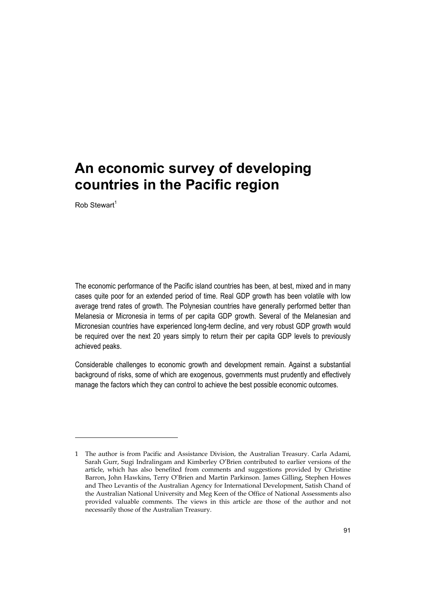$R$ ob Stewart<sup>1</sup>

j

The economic performance of the Pacific island countries has been, at best, mixed and in many cases quite poor for an extended period of time. Real GDP growth has been volatile with low average trend rates of growth. The Polynesian countries have generally performed better than Melanesia or Micronesia in terms of per capita GDP growth. Several of the Melanesian and Micronesian countries have experienced long-term decline, and very robust GDP growth would be required over the next 20 years simply to return their per capita GDP levels to previously achieved peaks.

Considerable challenges to economic growth and development remain. Against a substantial background of risks, some of which are exogenous, governments must prudently and effectively manage the factors which they can control to achieve the best possible economic outcomes.

<sup>1</sup> The author is from Pacific and Assistance Division, the Australian Treasury. Carla Adami, Sarah Gurr, Sugi Indralingam and Kimberley O'Brien contributed to earlier versions of the article, which has also benefited from comments and suggestions provided by Christine Barron, John Hawkins, Terry O'Brien and Martin Parkinson. James Gilling, Stephen Howes and Theo Levantis of the Australian Agency for International Development, Satish Chand of the Australian National University and Meg Keen of the Office of National Assessments also provided valuable comments. The views in this article are those of the author and not necessarily those of the Australian Treasury.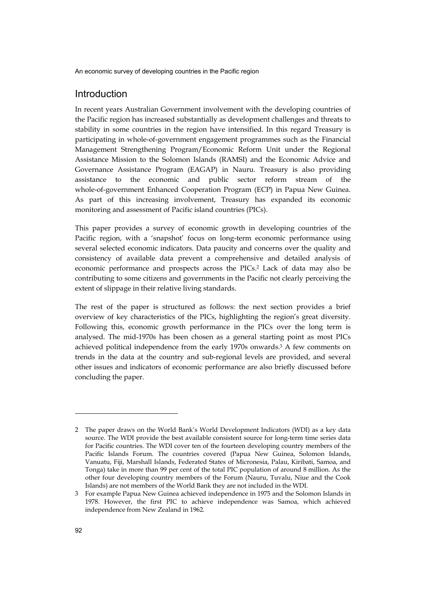# Introduction

In recent years Australian Government involvement with the developing countries of the Pacific region has increased substantially as development challenges and threats to stability in some countries in the region have intensified. In this regard Treasury is participating in whole-of-government engagement programmes such as the Financial Management Strengthening Program/Economic Reform Unit under the Regional Assistance Mission to the Solomon Islands (RAMSI) and the Economic Advice and Governance Assistance Program (EAGAP) in Nauru. Treasury is also providing assistance to the economic and public sector reform stream of the whole-of-government Enhanced Cooperation Program (ECP) in Papua New Guinea. As part of this increasing involvement, Treasury has expanded its economic monitoring and assessment of Pacific island countries (PICs).

This paper provides a survey of economic growth in developing countries of the Pacific region, with a 'snapshot' focus on long-term economic performance using several selected economic indicators. Data paucity and concerns over the quality and consistency of available data prevent a comprehensive and detailed analysis of economic performance and prospects across the PICs.2 Lack of data may also be contributing to some citizens and governments in the Pacific not clearly perceiving the extent of slippage in their relative living standards.

The rest of the paper is structured as follows: the next section provides a brief overview of key characteristics of the PICs, highlighting the region's great diversity. Following this, economic growth performance in the PICs over the long term is analysed. The mid-1970s has been chosen as a general starting point as most PICs achieved political independence from the early 1970s onwards.<sup>3</sup> A few comments on trends in the data at the country and sub-regional levels are provided, and several other issues and indicators of economic performance are also briefly discussed before concluding the paper.

<sup>2</sup> The paper draws on the World Bank's World Development Indicators (WDI) as a key data source. The WDI provide the best available consistent source for long-term time series data for Pacific countries. The WDI cover ten of the fourteen developing country members of the Pacific Islands Forum. The countries covered (Papua New Guinea, Solomon Islands, Vanuatu, Fiji, Marshall Islands, Federated States of Micronesia, Palau, Kiribati, Samoa, and Tonga) take in more than 99 per cent of the total PIC population of around 8 million. As the other four developing country members of the Forum (Nauru, Tuvalu, Niue and the Cook Islands) are not members of the World Bank they are not included in the WDI.

<sup>3</sup> For example Papua New Guinea achieved independence in 1975 and the Solomon Islands in 1978. However, the first PIC to achieve independence was Samoa, which achieved independence from New Zealand in 1962.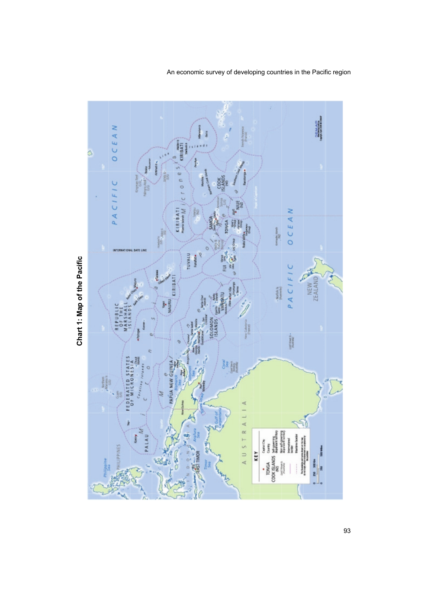

Chart 1: Map of the Pacific **Chart 1: Map of the Pacific**

An economic survey of developing countries in the Pacific region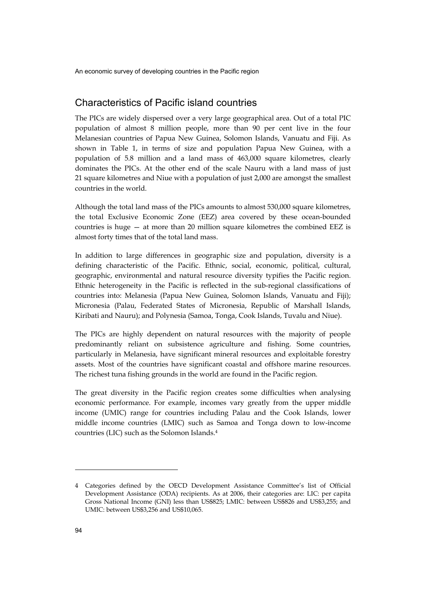# Characteristics of Pacific island countries

The PICs are widely dispersed over a very large geographical area. Out of a total PIC population of almost 8 million people, more than 90 per cent live in the four Melanesian countries of Papua New Guinea, Solomon Islands, Vanuatu and Fiji. As shown in Table 1, in terms of size and population Papua New Guinea, with a population of 5.8 million and a land mass of 463,000 square kilometres, clearly dominates the PICs. At the other end of the scale Nauru with a land mass of just 21 square kilometres and Niue with a population of just 2,000 are amongst the smallest countries in the world.

Although the total land mass of the PICs amounts to almost 530,000 square kilometres, the total Exclusive Economic Zone (EEZ) area covered by these ocean-bounded countries is huge — at more than 20 million square kilometres the combined EEZ is almost forty times that of the total land mass.

In addition to large differences in geographic size and population, diversity is a defining characteristic of the Pacific. Ethnic, social, economic, political, cultural, geographic, environmental and natural resource diversity typifies the Pacific region. Ethnic heterogeneity in the Pacific is reflected in the sub-regional classifications of countries into: Melanesia (Papua New Guinea, Solomon Islands, Vanuatu and Fiji); Micronesia (Palau, Federated States of Micronesia, Republic of Marshall Islands, Kiribati and Nauru); and Polynesia (Samoa, Tonga, Cook Islands, Tuvalu and Niue).

The PICs are highly dependent on natural resources with the majority of people predominantly reliant on subsistence agriculture and fishing. Some countries, particularly in Melanesia, have significant mineral resources and exploitable forestry assets. Most of the countries have significant coastal and offshore marine resources. The richest tuna fishing grounds in the world are found in the Pacific region.

The great diversity in the Pacific region creates some difficulties when analysing economic performance. For example, incomes vary greatly from the upper middle income (UMIC) range for countries including Palau and the Cook Islands, lower middle income countries (LMIC) such as Samoa and Tonga down to low-income countries (LIC) such as the Solomon Islands.4

<sup>4</sup> Categories defined by the OECD Development Assistance Committee's list of Official Development Assistance (ODA) recipients. As at 2006, their categories are: LIC: per capita Gross National Income (GNI) less than US\$825; LMIC: between US\$826 and US\$3,255; and UMIC: between US\$3,256 and US\$10,065.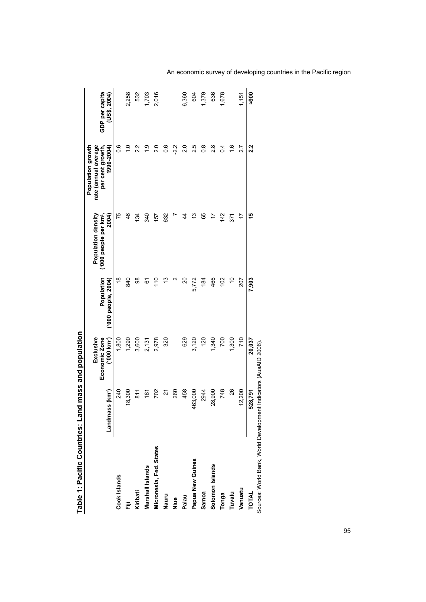|                                        | Landmass (km <sup>2</sup> ) | ('000 km <sup>2</sup> )<br>Exclusive<br>Economic Zone | Population<br>('000 people, 2004) | 2004)<br>Population density<br>('000 people per km <sup>2</sup> , | Population growth<br>rate (annual average<br>1990-2004)<br>per cent growth, | GDP per capita<br>(US\$, 2004) |
|----------------------------------------|-----------------------------|-------------------------------------------------------|-----------------------------------|-------------------------------------------------------------------|-----------------------------------------------------------------------------|--------------------------------|
| Cook Islands                           | 240                         | 1,800                                                 | $\frac{8}{1}$                     | 75                                                                | 0.6                                                                         |                                |
| Ē                                      | 18,300                      | 1,290                                                 | 840                               | 46                                                                | $\frac{1}{2}$                                                               | 2,258                          |
| Kiribati                               | $\frac{5}{8}$               | 3,600                                                 | 88                                | 134                                                               | 2.2                                                                         | 532                            |
| Marshall Islands                       | $\frac{5}{6}$               | 2,131                                                 | 6                                 | 340                                                               | $\frac{5}{1}$                                                               | 1,703                          |
| Micronesia, Fed. States                | 702                         | 2,978                                                 | $\frac{1}{2}$                     | 157                                                               | $\frac{0}{2}$                                                               | 2,016                          |
| Nauru                                  | <u>ম</u>                    | 320                                                   |                                   | 632                                                               | 0.6                                                                         |                                |
| Niue                                   | 260                         |                                                       | ∾                                 |                                                                   | $-2.2$                                                                      |                                |
| Palau                                  | 458                         | 629                                                   | 20                                | 4                                                                 | $\frac{0}{2}$                                                               | 6,360                          |
| Papua New Guinea                       | 163,000                     | 3,120                                                 | 5,772                             | 5                                                                 | 25                                                                          | 604                            |
| Samoa                                  | 2944                        | 120                                                   | 184                               | 65                                                                | $\frac{8}{2}$                                                               | 1,379                          |
| Solomon Islands                        | 28,900                      | 1,340                                                 | 466                               | 17                                                                | $\frac{8}{2}$                                                               | 636                            |
| Tonga                                  | 748                         | 700                                                   | 102                               | 142                                                               | $\overline{0.4}$                                                            | 1,678                          |
| Tuvalu                                 | 26                          | 1,300                                                 | $\frac{1}{2}$                     | 371                                                               | $\frac{6}{1}$                                                               |                                |
| Vanuatu                                | 12,200                      | 710                                                   | 207                               | 17                                                                | 27                                                                          | 1,151                          |
| <b>TOTAL</b>                           | 528,791                     | 20,037                                                | 7,903                             | 15                                                                | 2.2                                                                         | ខ្លួ                           |
| Sources: World Bank, World Development |                             | : Indicators (AusAID 2006)                            |                                   |                                                                   |                                                                             |                                |

Table 1: Pacific Countries: Land mass and population **Table 1: Pacific Countries: Land mass and population** 

An economic survey of developing countries in the Pacific region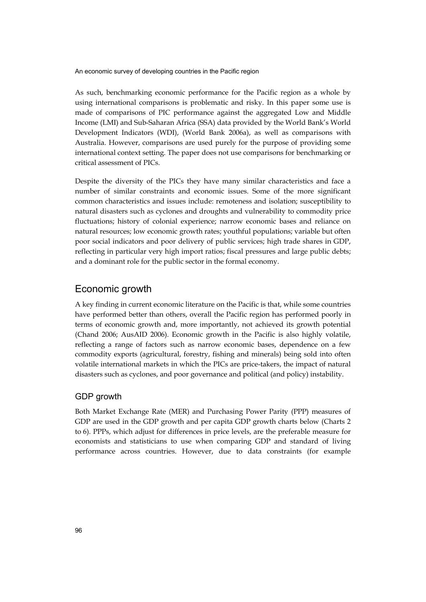As such, benchmarking economic performance for the Pacific region as a whole by using international comparisons is problematic and risky. In this paper some use is made of comparisons of PIC performance against the aggregated Low and Middle Income (LMI) and Sub-Saharan Africa (SSA) data provided by the World Bank's World Development Indicators (WDI), (World Bank 2006a), as well as comparisons with Australia. However, comparisons are used purely for the purpose of providing some international context setting. The paper does not use comparisons for benchmarking or critical assessment of PICs.

Despite the diversity of the PICs they have many similar characteristics and face a number of similar constraints and economic issues. Some of the more significant common characteristics and issues include: remoteness and isolation; susceptibility to natural disasters such as cyclones and droughts and vulnerability to commodity price fluctuations; history of colonial experience; narrow economic bases and reliance on natural resources; low economic growth rates; youthful populations; variable but often poor social indicators and poor delivery of public services; high trade shares in GDP, reflecting in particular very high import ratios; fiscal pressures and large public debts; and a dominant role for the public sector in the formal economy.

## Economic growth

A key finding in current economic literature on the Pacific is that, while some countries have performed better than others, overall the Pacific region has performed poorly in terms of economic growth and, more importantly, not achieved its growth potential (Chand 2006; AusAID 2006). Economic growth in the Pacific is also highly volatile, reflecting a range of factors such as narrow economic bases, dependence on a few commodity exports (agricultural, forestry, fishing and minerals) being sold into often volatile international markets in which the PICs are price-takers, the impact of natural disasters such as cyclones, and poor governance and political (and policy) instability.

#### GDP growth

Both Market Exchange Rate (MER) and Purchasing Power Parity (PPP) measures of GDP are used in the GDP growth and per capita GDP growth charts below (Charts 2 to 6). PPPs, which adjust for differences in price levels, are the preferable measure for economists and statisticians to use when comparing GDP and standard of living performance across countries. However, due to data constraints (for example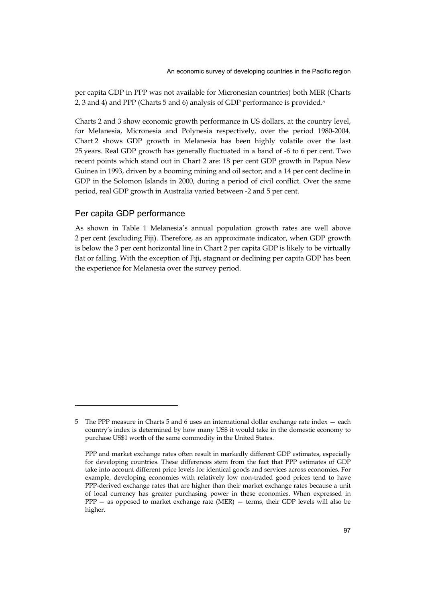per capita GDP in PPP was not available for Micronesian countries) both MER (Charts 2, 3 and 4) and PPP (Charts 5 and 6) analysis of GDP performance is provided.5

Charts 2 and 3 show economic growth performance in US dollars, at the country level, for Melanesia, Micronesia and Polynesia respectively, over the period 1980-2004. Chart 2 shows GDP growth in Melanesia has been highly volatile over the last 25 years. Real GDP growth has generally fluctuated in a band of -6 to 6 per cent. Two recent points which stand out in Chart 2 are: 18 per cent GDP growth in Papua New Guinea in 1993, driven by a booming mining and oil sector; and a 14 per cent decline in GDP in the Solomon Islands in 2000, during a period of civil conflict. Over the same period, real GDP growth in Australia varied between -2 and 5 per cent.

#### Per capita GDP performance

j

As shown in Table 1 Melanesia's annual population growth rates are well above 2 per cent (excluding Fiji). Therefore, as an approximate indicator, when GDP growth is below the 3 per cent horizontal line in Chart 2 per capita GDP is likely to be virtually flat or falling. With the exception of Fiji, stagnant or declining per capita GDP has been the experience for Melanesia over the survey period.

<sup>5</sup> The PPP measure in Charts 5 and 6 uses an international dollar exchange rate index — each country's index is determined by how many US\$ it would take in the domestic economy to purchase US\$1 worth of the same commodity in the United States.

PPP and market exchange rates often result in markedly different GDP estimates, especially for developing countries. These differences stem from the fact that PPP estimates of GDP take into account different price levels for identical goods and services across economies. For example, developing economies with relatively low non-traded good prices tend to have PPP-derived exchange rates that are higher than their market exchange rates because a unit of local currency has greater purchasing power in these economies. When expressed in  $PPP -$  as opposed to market exchange rate (MER)  $-$  terms, their GDP levels will also be higher.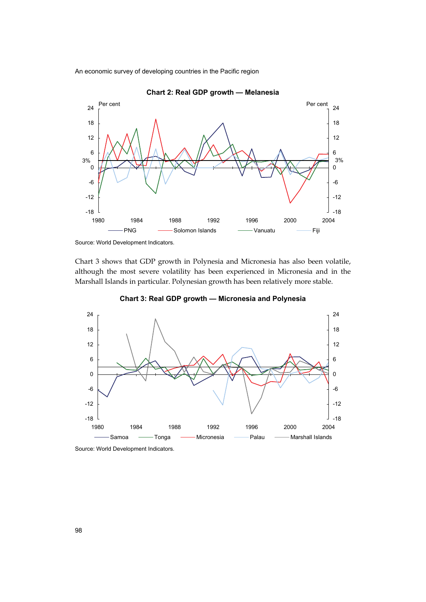



Chart 3 shows that GDP growth in Polynesia and Micronesia has also been volatile, although the most severe volatility has been experienced in Micronesia and in the Marshall Islands in particular. Polynesian growth has been relatively more stable.



**Chart 3: Real GDP growth — Micronesia and Polynesia** 

Source: World Development Indicators.

Source: World Development Indicators*.*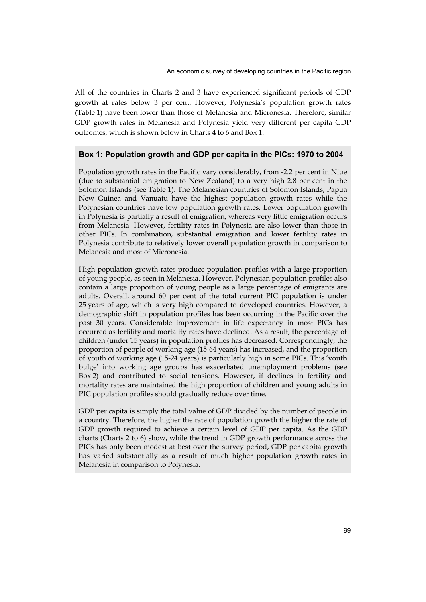All of the countries in Charts 2 and 3 have experienced significant periods of GDP growth at rates below 3 per cent. However, Polynesia's population growth rates (Table 1) have been lower than those of Melanesia and Micronesia. Therefore, similar GDP growth rates in Melanesia and Polynesia yield very different per capita GDP outcomes, which is shown below in Charts 4 to 6 and Box 1.

#### **Box 1: Population growth and GDP per capita in the PICs: 1970 to 2004**

Population growth rates in the Pacific vary considerably, from -2.2 per cent in Niue (due to substantial emigration to New Zealand) to a very high 2.8 per cent in the Solomon Islands (see Table 1). The Melanesian countries of Solomon Islands, Papua New Guinea and Vanuatu have the highest population growth rates while the Polynesian countries have low population growth rates. Lower population growth in Polynesia is partially a result of emigration, whereas very little emigration occurs from Melanesia. However, fertility rates in Polynesia are also lower than those in other PICs. In combination, substantial emigration and lower fertility rates in Polynesia contribute to relatively lower overall population growth in comparison to Melanesia and most of Micronesia.

High population growth rates produce population profiles with a large proportion of young people, as seen in Melanesia. However, Polynesian population profiles also contain a large proportion of young people as a large percentage of emigrants are adults. Overall, around 60 per cent of the total current PIC population is under 25 years of age, which is very high compared to developed countries. However, a demographic shift in population profiles has been occurring in the Pacific over the past 30 years. Considerable improvement in life expectancy in most PICs has occurred as fertility and mortality rates have declined. As a result, the percentage of children (under 15 years) in population profiles has decreased. Correspondingly, the proportion of people of working age (15-64 years) has increased, and the proportion of youth of working age (15-24 years) is particularly high in some PICs. This 'youth bulge' into working age groups has exacerbated unemployment problems (see Box 2) and contributed to social tensions. However, if declines in fertility and mortality rates are maintained the high proportion of children and young adults in PIC population profiles should gradually reduce over time.

GDP per capita is simply the total value of GDP divided by the number of people in a country. Therefore, the higher the rate of population growth the higher the rate of GDP growth required to achieve a certain level of GDP per capita. As the GDP charts (Charts 2 to 6) show, while the trend in GDP growth performance across the PICs has only been modest at best over the survey period, GDP per capita growth has varied substantially as a result of much higher population growth rates in Melanesia in comparison to Polynesia.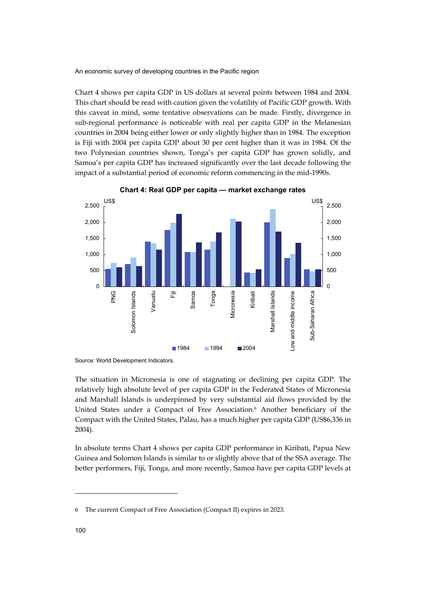Chart 4 shows per capita GDP in US dollars at several points between 1984 and 2004. This chart should be read with caution given the volatility of Pacific GDP growth. With this caveat in mind, some tentative observations can be made. Firstly, divergence in sub-regional performance is noticeable with real per capita GDP in the Melanesian countries in 2004 being either lower or only slightly higher than in 1984. The exception is Fiji with 2004 per capita GDP about 30 per cent higher than it was in 1984. Of the two Polynesian countries shown, Tonga's per capita GDP has grown solidly, and Samoa's per capita GDP has increased significantly over the last decade following the impact of a substantial period of economic reform commencing in the mid-1990s.



**Chart 4: Real GDP per capita — market exchange rates** 

The situation in Micronesia is one of stagnating or declining per capita GDP. The relatively high absolute level of per capita GDP in the Federated States of Micronesia and Marshall Islands is underpinned by very substantial aid flows provided by the United States under a Compact of Free Association.6 Another beneficiary of the Compact with the United States, Palau, has a much higher per capita GDP (US\$6,336 in 2004).

In absolute terms Chart 4 shows per capita GDP performance in Kiribati, Papua New Guinea and Solomon Islands is similar to or slightly above that of the SSA average. The better performers, Fiji, Tonga, and more recently, Samoa have per capita GDP levels at

j

Source: World Development Indicators*.*

<sup>6</sup> The current Compact of Free Association (Compact II) expires in 2023.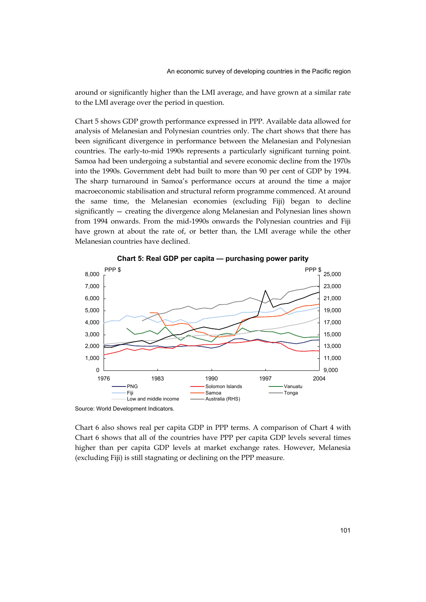around or significantly higher than the LMI average, and have grown at a similar rate to the LMI average over the period in question.

Chart 5 shows GDP growth performance expressed in PPP. Available data allowed for analysis of Melanesian and Polynesian countries only. The chart shows that there has been significant divergence in performance between the Melanesian and Polynesian countries. The early-to-mid 1990s represents a particularly significant turning point. Samoa had been undergoing a substantial and severe economic decline from the 1970s into the 1990s. Government debt had built to more than 90 per cent of GDP by 1994. The sharp turnaround in Samoa's performance occurs at around the time a major macroeconomic stabilisation and structural reform programme commenced. At around the same time, the Melanesian economies (excluding Fiji) began to decline significantly — creating the divergence along Melanesian and Polynesian lines shown from 1994 onwards. From the mid-1990s onwards the Polynesian countries and Fiji have grown at about the rate of, or better than, the LMI average while the other Melanesian countries have declined.



**Chart 5: Real GDP per capita — purchasing power parity** 

Source: World Development Indicators*.*

Chart 6 also shows real per capita GDP in PPP terms. A comparison of Chart 4 with Chart 6 shows that all of the countries have PPP per capita GDP levels several times higher than per capita GDP levels at market exchange rates. However, Melanesia (excluding Fiji) is still stagnating or declining on the PPP measure.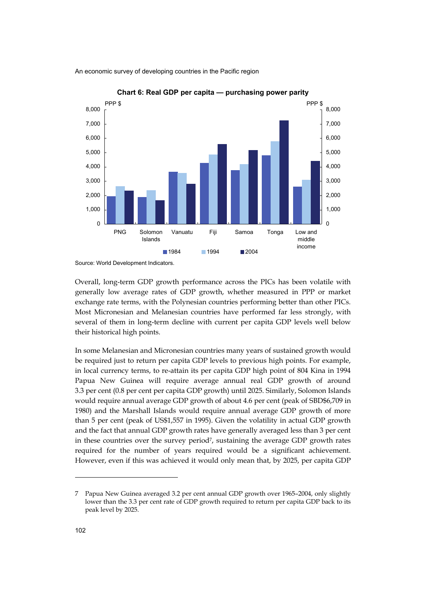

**Chart 6: Real GDP per capita — purchasing power parity** 

Overall, long-term GDP growth performance across the PICs has been volatile with generally low average rates of GDP growth, whether measured in PPP or market exchange rate terms, with the Polynesian countries performing better than other PICs. Most Micronesian and Melanesian countries have performed far less strongly, with several of them in long-term decline with current per capita GDP levels well below their historical high points.

In some Melanesian and Micronesian countries many years of sustained growth would be required just to return per capita GDP levels to previous high points. For example, in local currency terms, to re-attain its per capita GDP high point of 804 Kina in 1994 Papua New Guinea will require average annual real GDP growth of around 3.3 per cent (0.8 per cent per capita GDP growth) until 2025. Similarly, Solomon Islands would require annual average GDP growth of about 4.6 per cent (peak of SBD\$6,709 in 1980) and the Marshall Islands would require annual average GDP growth of more than 5 per cent (peak of US\$1,557 in 1995). Given the volatility in actual GDP growth and the fact that annual GDP growth rates have generally averaged less than 3 per cent in these countries over the survey period<sup>7</sup>, sustaining the average GDP growth rates required for the number of years required would be a significant achievement. However, even if this was achieved it would only mean that, by 2025, per capita GDP

Source: World Development Indicators.

<sup>7</sup> Papua New Guinea averaged 3.2 per cent annual GDP growth over 1965–2004, only slightly lower than the 3.3 per cent rate of GDP growth required to return per capita GDP back to its peak level by 2025.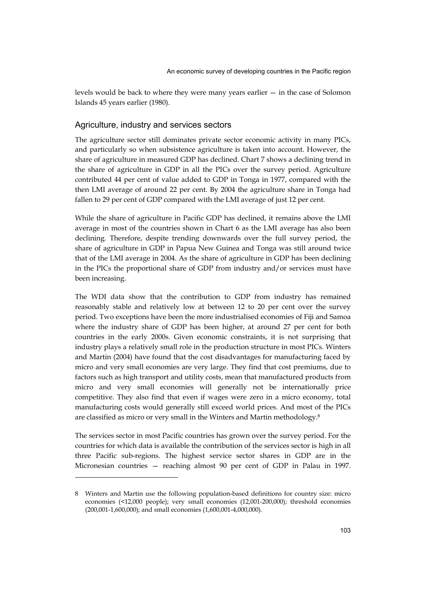levels would be back to where they were many years earlier — in the case of Solomon Islands 45 years earlier (1980).

#### Agriculture, industry and services sectors

The agriculture sector still dominates private sector economic activity in many PICs, and particularly so when subsistence agriculture is taken into account. However, the share of agriculture in measured GDP has declined. Chart 7 shows a declining trend in the share of agriculture in GDP in all the PICs over the survey period. Agriculture contributed 44 per cent of value added to GDP in Tonga in 1977, compared with the then LMI average of around 22 per cent. By 2004 the agriculture share in Tonga had fallen to 29 per cent of GDP compared with the LMI average of just 12 per cent.

While the share of agriculture in Pacific GDP has declined, it remains above the LMI average in most of the countries shown in Chart 6 as the LMI average has also been declining. Therefore, despite trending downwards over the full survey period, the share of agriculture in GDP in Papua New Guinea and Tonga was still around twice that of the LMI average in 2004. As the share of agriculture in GDP has been declining in the PICs the proportional share of GDP from industry and/or services must have been increasing.

The WDI data show that the contribution to GDP from industry has remained reasonably stable and relatively low at between 12 to 20 per cent over the survey period. Two exceptions have been the more industrialised economies of Fiji and Samoa where the industry share of GDP has been higher, at around 27 per cent for both countries in the early 2000s. Given economic constraints, it is not surprising that industry plays a relatively small role in the production structure in most PICs. Winters and Martin (2004) have found that the cost disadvantages for manufacturing faced by micro and very small economies are very large. They find that cost premiums, due to factors such as high transport and utility costs, mean that manufactured products from micro and very small economies will generally not be internationally price competitive. They also find that even if wages were zero in a micro economy, total manufacturing costs would generally still exceed world prices. And most of the PICs are classified as micro or very small in the Winters and Martin methodology.8

The services sector in most Pacific countries has grown over the survey period. For the countries for which data is available the contribution of the services sector is high in all three Pacific sub-regions. The highest service sector shares in GDP are in the Micronesian countries — reaching almost 90 per cent of GDP in Palau in 1997.

<sup>8</sup> Winters and Martin use the following population-based definitions for country size: micro economies (<12,000 people); very small economies (12,001-200,000); threshold economies (200,001-1,600,000); and small economies (1,600,001-4,000,000).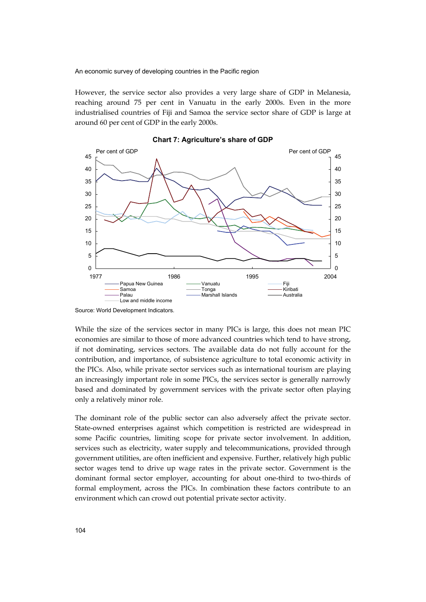However, the service sector also provides a very large share of GDP in Melanesia, reaching around 75 per cent in Vanuatu in the early 2000s. Even in the more industrialised countries of Fiji and Samoa the service sector share of GDP is large at around 60 per cent of GDP in the early 2000s.



**Chart 7: Agriculture's share of GDP** 

While the size of the services sector in many PICs is large, this does not mean PIC economies are similar to those of more advanced countries which tend to have strong, if not dominating, services sectors. The available data do not fully account for the contribution, and importance, of subsistence agriculture to total economic activity in the PICs. Also, while private sector services such as international tourism are playing an increasingly important role in some PICs, the services sector is generally narrowly based and dominated by government services with the private sector often playing only a relatively minor role.

The dominant role of the public sector can also adversely affect the private sector. State-owned enterprises against which competition is restricted are widespread in some Pacific countries, limiting scope for private sector involvement. In addition, services such as electricity, water supply and telecommunications, provided through government utilities, are often inefficient and expensive. Further, relatively high public sector wages tend to drive up wage rates in the private sector. Government is the dominant formal sector employer, accounting for about one-third to two-thirds of formal employment, across the PICs. In combination these factors contribute to an environment which can crowd out potential private sector activity.

Source: World Development Indicators*.*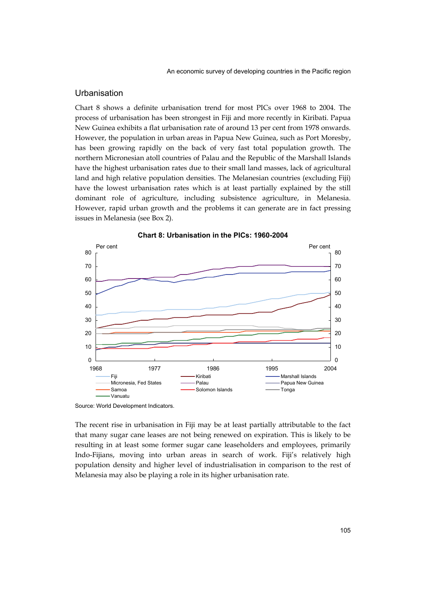## **Urbanisation**

Chart 8 shows a definite urbanisation trend for most PICs over 1968 to 2004. The process of urbanisation has been strongest in Fiji and more recently in Kiribati. Papua New Guinea exhibits a flat urbanisation rate of around 13 per cent from 1978 onwards. However, the population in urban areas in Papua New Guinea, such as Port Moresby, has been growing rapidly on the back of very fast total population growth. The northern Micronesian atoll countries of Palau and the Republic of the Marshall Islands have the highest urbanisation rates due to their small land masses, lack of agricultural land and high relative population densities. The Melanesian countries (excluding Fiji) have the lowest urbanisation rates which is at least partially explained by the still dominant role of agriculture, including subsistence agriculture, in Melanesia. However, rapid urban growth and the problems it can generate are in fact pressing issues in Melanesia (see Box 2).





Source: World Development Indicators.

The recent rise in urbanisation in Fiji may be at least partially attributable to the fact that many sugar cane leases are not being renewed on expiration. This is likely to be resulting in at least some former sugar cane leaseholders and employees, primarily Indo-Fijians, moving into urban areas in search of work. Fiji's relatively high population density and higher level of industrialisation in comparison to the rest of Melanesia may also be playing a role in its higher urbanisation rate.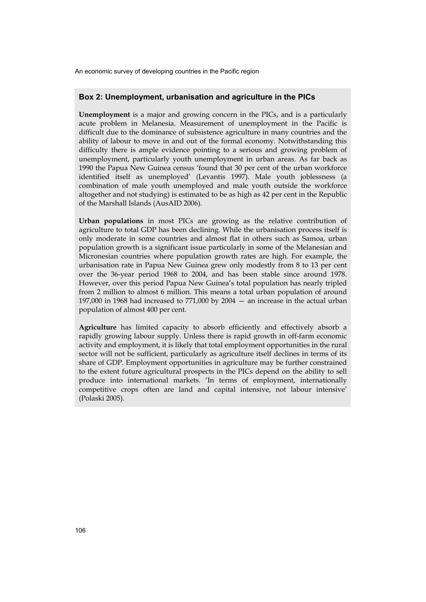#### **Box 2: Unemployment, urbanisation and agriculture in the PICs**

**Unemployment** is a major and growing concern in the PICs, and is a particularly acute problem in Melanesia. Measurement of unemployment in the Pacific is difficult due to the dominance of subsistence agriculture in many countries and the ability of labour to move in and out of the formal economy. Notwithstanding this difficulty there is ample evidence pointing to a serious and growing problem of unemployment, particularly youth unemployment in urban areas. As far back as 1990 the Papua New Guinea census 'found that 30 per cent of the urban workforce identified itself as unemployed' (Levantis 1997). Male youth joblessness (a combination of male youth unemployed and male youth outside the workforce altogether and not studying) is estimated to be as high as 42 per cent in the Republic of the Marshall Islands (AusAID 2006).

**Urban populations** in most PICs are growing as the relative contribution of agriculture to total GDP has been declining. While the urbanisation process itself is only moderate in some countries and almost flat in others such as Samoa, urban population growth is a significant issue particularly in some of the Melanesian and Micronesian countries where population growth rates are high. For example, the urbanisation rate in Papua New Guinea grew only modestly from 8 to 13 per cent over the 36-year period 1968 to 2004, and has been stable since around 1978. However, over this period Papua New Guinea's total population has nearly tripled from 2 million to almost 6 million. This means a total urban population of around 197,000 in 1968 had increased to 771,000 by 2004 — an increase in the actual urban population of almost 400 per cent.

**Agriculture** has limited capacity to absorb efficiently and effectively absorb a rapidly growing labour supply. Unless there is rapid growth in off-farm economic activity and employment, it is likely that total employment opportunities in the rural sector will not be sufficient, particularly as agriculture itself declines in terms of its share of GDP. Employment opportunities in agriculture may be further constrained to the extent future agricultural prospects in the PICs depend on the ability to sell produce into international markets. 'In terms of employment, internationally competitive crops often are land and capital intensive, not labour intensive' (Polaski 2005).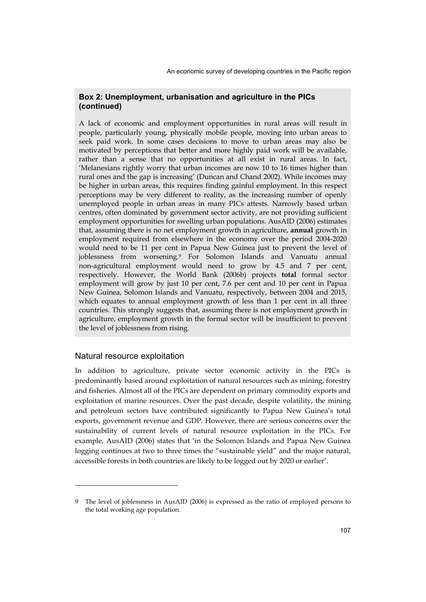## **Box 2: Unemployment, urbanisation and agriculture in the PICs (continued)**

A lack of economic and employment opportunities in rural areas will result in people, particularly young, physically mobile people, moving into urban areas to seek paid work. In some cases decisions to move to urban areas may also be motivated by perceptions that better and more highly paid work will be available, rather than a sense that no opportunities at all exist in rural areas. In fact, 'Melanesians rightly worry that urban incomes are now 10 to 16 times higher than rural ones and the gap is increasing' (Duncan and Chand 2002). While incomes may be higher in urban areas, this requires finding gainful employment. In this respect perceptions may be very different to reality, as the increasing number of openly unemployed people in urban areas in many PICs attests. Narrowly based urban centres, often dominated by government sector activity, are not providing sufficient employment opportunities for swelling urban populations. AusAID (2006) estimates that, assuming there is no net employment growth in agriculture, **annual** growth in employment required from elsewhere in the economy over the period 2004-2020 would need to be 11 per cent in Papua New Guinea just to prevent the level of joblessness from worsening.9 For Solomon Islands and Vanuatu annual non-agricultural employment would need to grow by 4.5 and 7 per cent, respectively. However, the World Bank (2006b) projects **total** formal sector employment will grow by just 10 per cent, 7.6 per cent and 10 per cent in Papua New Guinea, Solomon Islands and Vanuatu, respectively, between 2004 and 2015, which equates to annual employment growth of less than 1 per cent in all three countries. This strongly suggests that, assuming there is not employment growth in agriculture, employment growth in the formal sector will be insufficient to prevent the level of joblessness from rising.

### Natural resource exploitation

-

In addition to agriculture, private sector economic activity in the PICs is predominantly based around exploitation of natural resources such as mining, forestry and fisheries. Almost all of the PICs are dependent on primary commodity exports and exploitation of marine resources. Over the past decade, despite volatility, the mining and petroleum sectors have contributed significantly to Papua New Guinea's total exports, government revenue and GDP. However, there are serious concerns over the sustainability of current levels of natural resource exploitation in the PICs. For example, AusAID (2006) states that 'in the Solomon Islands and Papua New Guinea logging continues at two to three times the "sustainable yield" and the major natural, accessible forests in both countries are likely to be logged out by 2020 or earlier'.

<sup>9</sup> The level of joblessness in AusAID (2006) is expressed as the ratio of employed persons to the total working age population.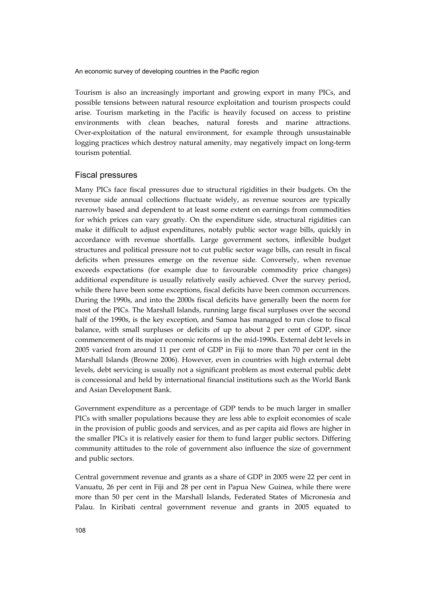Tourism is also an increasingly important and growing export in many PICs, and possible tensions between natural resource exploitation and tourism prospects could arise. Tourism marketing in the Pacific is heavily focused on access to pristine environments with clean beaches, natural forests and marine attractions. Over-exploitation of the natural environment, for example through unsustainable logging practices which destroy natural amenity, may negatively impact on long-term tourism potential.

#### Fiscal pressures

Many PICs face fiscal pressures due to structural rigidities in their budgets. On the revenue side annual collections fluctuate widely, as revenue sources are typically narrowly based and dependent to at least some extent on earnings from commodities for which prices can vary greatly. On the expenditure side, structural rigidities can make it difficult to adjust expenditures, notably public sector wage bills, quickly in accordance with revenue shortfalls. Large government sectors, inflexible budget structures and political pressure not to cut public sector wage bills, can result in fiscal deficits when pressures emerge on the revenue side. Conversely, when revenue exceeds expectations (for example due to favourable commodity price changes) additional expenditure is usually relatively easily achieved. Over the survey period, while there have been some exceptions, fiscal deficits have been common occurrences. During the 1990s, and into the 2000s fiscal deficits have generally been the norm for most of the PICs. The Marshall Islands, running large fiscal surpluses over the second half of the 1990s, is the key exception, and Samoa has managed to run close to fiscal balance, with small surpluses or deficits of up to about 2 per cent of GDP, since commencement of its major economic reforms in the mid-1990s. External debt levels in 2005 varied from around 11 per cent of GDP in Fiji to more than 70 per cent in the Marshall Islands (Browne 2006). However, even in countries with high external debt levels, debt servicing is usually not a significant problem as most external public debt is concessional and held by international financial institutions such as the World Bank and Asian Development Bank.

Government expenditure as a percentage of GDP tends to be much larger in smaller PICs with smaller populations because they are less able to exploit economies of scale in the provision of public goods and services, and as per capita aid flows are higher in the smaller PICs it is relatively easier for them to fund larger public sectors. Differing community attitudes to the role of government also influence the size of government and public sectors.

Central government revenue and grants as a share of GDP in 2005 were 22 per cent in Vanuatu, 26 per cent in Fiji and 28 per cent in Papua New Guinea, while there were more than 50 per cent in the Marshall Islands, Federated States of Micronesia and Palau. In Kiribati central government revenue and grants in 2005 equated to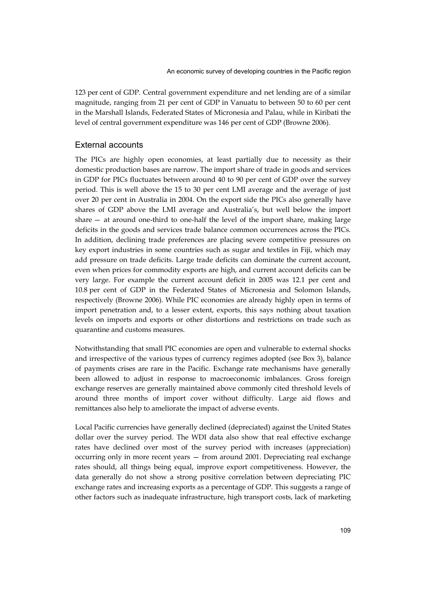123 per cent of GDP. Central government expenditure and net lending are of a similar magnitude, ranging from 21 per cent of GDP in Vanuatu to between 50 to 60 per cent in the Marshall Islands, Federated States of Micronesia and Palau, while in Kiribati the level of central government expenditure was 146 per cent of GDP (Browne 2006).

## External accounts

The PICs are highly open economies, at least partially due to necessity as their domestic production bases are narrow. The import share of trade in goods and services in GDP for PICs fluctuates between around 40 to 90 per cent of GDP over the survey period. This is well above the 15 to 30 per cent LMI average and the average of just over 20 per cent in Australia in 2004. On the export side the PICs also generally have shares of GDP above the LMI average and Australia's, but well below the import share — at around one-third to one-half the level of the import share, making large deficits in the goods and services trade balance common occurrences across the PICs. In addition, declining trade preferences are placing severe competitive pressures on key export industries in some countries such as sugar and textiles in Fiji, which may add pressure on trade deficits. Large trade deficits can dominate the current account, even when prices for commodity exports are high, and current account deficits can be very large. For example the current account deficit in 2005 was 12.1 per cent and 10.8 per cent of GDP in the Federated States of Micronesia and Solomon Islands, respectively (Browne 2006). While PIC economies are already highly open in terms of import penetration and, to a lesser extent, exports, this says nothing about taxation levels on imports and exports or other distortions and restrictions on trade such as quarantine and customs measures.

Notwithstanding that small PIC economies are open and vulnerable to external shocks and irrespective of the various types of currency regimes adopted (see Box 3), balance of payments crises are rare in the Pacific. Exchange rate mechanisms have generally been allowed to adjust in response to macroeconomic imbalances. Gross foreign exchange reserves are generally maintained above commonly cited threshold levels of around three months of import cover without difficulty. Large aid flows and remittances also help to ameliorate the impact of adverse events.

Local Pacific currencies have generally declined (depreciated) against the United States dollar over the survey period. The WDI data also show that real effective exchange rates have declined over most of the survey period with increases (appreciation) occurring only in more recent years — from around 2001. Depreciating real exchange rates should, all things being equal, improve export competitiveness. However, the data generally do not show a strong positive correlation between depreciating PIC exchange rates and increasing exports as a percentage of GDP. This suggests a range of other factors such as inadequate infrastructure, high transport costs, lack of marketing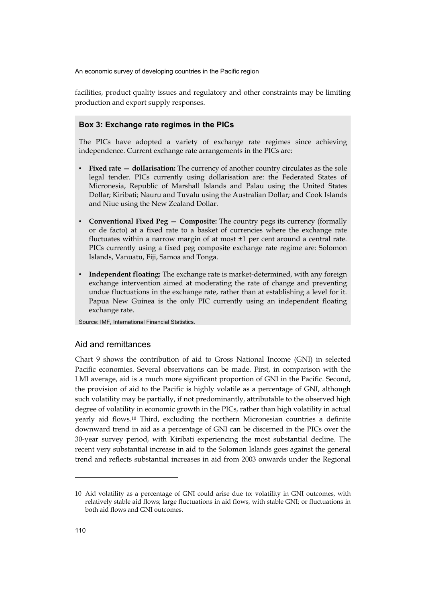facilities, product quality issues and regulatory and other constraints may be limiting production and export supply responses.

#### **Box 3: Exchange rate regimes in the PICs**

The PICs have adopted a variety of exchange rate regimes since achieving independence. Current exchange rate arrangements in the PICs are:

- **Fixed rate dollarisation:** The currency of another country circulates as the sole legal tender. PICs currently using dollarisation are: the Federated States of Micronesia, Republic of Marshall Islands and Palau using the United States Dollar; Kiribati; Nauru and Tuvalu using the Australian Dollar; and Cook Islands and Niue using the New Zealand Dollar.
- **Conventional Fixed Peg Composite:** The country pegs its currency (formally or de facto) at a fixed rate to a basket of currencies where the exchange rate fluctuates within a narrow margin of at most ±1 per cent around a central rate. PICs currently using a fixed peg composite exchange rate regime are: Solomon Islands, Vanuatu, Fiji, Samoa and Tonga.
- **Independent floating:** The exchange rate is market-determined, with any foreign exchange intervention aimed at moderating the rate of change and preventing undue fluctuations in the exchange rate, rather than at establishing a level for it. Papua New Guinea is the only PIC currently using an independent floating exchange rate.

Source: IMF, International Financial Statistics.

## Aid and remittances

Chart 9 shows the contribution of aid to Gross National Income (GNI) in selected Pacific economies. Several observations can be made. First, in comparison with the LMI average, aid is a much more significant proportion of GNI in the Pacific. Second, the provision of aid to the Pacific is highly volatile as a percentage of GNI, although such volatility may be partially, if not predominantly, attributable to the observed high degree of volatility in economic growth in the PICs, rather than high volatility in actual yearly aid flows.10 Third, excluding the northern Micronesian countries a definite downward trend in aid as a percentage of GNI can be discerned in the PICs over the 30-year survey period, with Kiribati experiencing the most substantial decline. The recent very substantial increase in aid to the Solomon Islands goes against the general trend and reflects substantial increases in aid from 2003 onwards under the Regional

<sup>10</sup> Aid volatility as a percentage of GNI could arise due to: volatility in GNI outcomes, with relatively stable aid flows; large fluctuations in aid flows, with stable GNI; or fluctuations in both aid flows and GNI outcomes.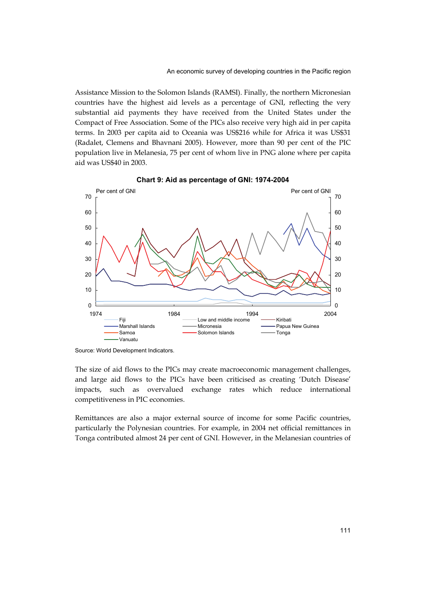Assistance Mission to the Solomon Islands (RAMSI). Finally, the northern Micronesian countries have the highest aid levels as a percentage of GNI, reflecting the very substantial aid payments they have received from the United States under the Compact of Free Association. Some of the PICs also receive very high aid in per capita terms. In 2003 per capita aid to Oceania was US\$216 while for Africa it was US\$31 (Radalet, Clemens and Bhavnani 2005). However, more than 90 per cent of the PIC population live in Melanesia, 75 per cent of whom live in PNG alone where per capita aid was US\$40 in 2003.



**Chart 9: Aid as percentage of GNI: 1974-2004** 

The size of aid flows to the PICs may create macroeconomic management challenges, and large aid flows to the PICs have been criticised as creating 'Dutch Disease' impacts, such as overvalued exchange rates which reduce international competitiveness in PIC economies.

Remittances are also a major external source of income for some Pacific countries, particularly the Polynesian countries. For example, in 2004 net official remittances in Tonga contributed almost 24 per cent of GNI. However, in the Melanesian countries of

Source: World Development Indicators.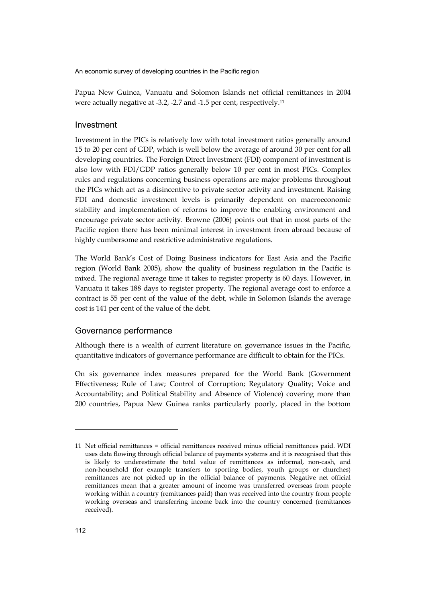Papua New Guinea, Vanuatu and Solomon Islands net official remittances in 2004 were actually negative at -3.2, -2.7 and -1.5 per cent, respectively.11

#### Investment

Investment in the PICs is relatively low with total investment ratios generally around 15 to 20 per cent of GDP, which is well below the average of around 30 per cent for all developing countries. The Foreign Direct Investment (FDI) component of investment is also low with FDI/GDP ratios generally below 10 per cent in most PICs. Complex rules and regulations concerning business operations are major problems throughout the PICs which act as a disincentive to private sector activity and investment. Raising FDI and domestic investment levels is primarily dependent on macroeconomic stability and implementation of reforms to improve the enabling environment and encourage private sector activity. Browne (2006) points out that in most parts of the Pacific region there has been minimal interest in investment from abroad because of highly cumbersome and restrictive administrative regulations.

The World Bank's Cost of Doing Business indicators for East Asia and the Pacific region (World Bank 2005), show the quality of business regulation in the Pacific is mixed. The regional average time it takes to register property is 60 days. However, in Vanuatu it takes 188 days to register property. The regional average cost to enforce a contract is 55 per cent of the value of the debt, while in Solomon Islands the average cost is 141 per cent of the value of the debt.

#### Governance performance

Although there is a wealth of current literature on governance issues in the Pacific, quantitative indicators of governance performance are difficult to obtain for the PICs.

On six governance index measures prepared for the World Bank (Government Effectiveness; Rule of Law; Control of Corruption; Regulatory Quality; Voice and Accountability; and Political Stability and Absence of Violence) covering more than 200 countries, Papua New Guinea ranks particularly poorly, placed in the bottom

<sup>11</sup> Net official remittances = official remittances received minus official remittances paid. WDI uses data flowing through official balance of payments systems and it is recognised that this is likely to underestimate the total value of remittances as informal, non-cash, and non-household (for example transfers to sporting bodies, youth groups or churches) remittances are not picked up in the official balance of payments. Negative net official remittances mean that a greater amount of income was transferred overseas from people working within a country (remittances paid) than was received into the country from people working overseas and transferring income back into the country concerned (remittances received).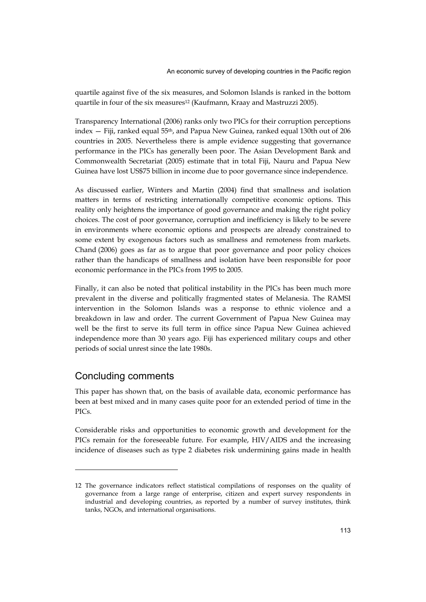quartile against five of the six measures, and Solomon Islands is ranked in the bottom quartile in four of the six measures<sup>12</sup> (Kaufmann, Kraay and Mastruzzi 2005).

Transparency International (2006) ranks only two PICs for their corruption perceptions index — Fiji, ranked equal 55th, and Papua New Guinea, ranked equal 130th out of 206 countries in 2005. Nevertheless there is ample evidence suggesting that governance performance in the PICs has generally been poor. The Asian Development Bank and Commonwealth Secretariat (2005) estimate that in total Fiji, Nauru and Papua New Guinea have lost US\$75 billion in income due to poor governance since independence.

As discussed earlier, Winters and Martin (2004) find that smallness and isolation matters in terms of restricting internationally competitive economic options. This reality only heightens the importance of good governance and making the right policy choices. The cost of poor governance, corruption and inefficiency is likely to be severe in environments where economic options and prospects are already constrained to some extent by exogenous factors such as smallness and remoteness from markets. Chand (2006) goes as far as to argue that poor governance and poor policy choices rather than the handicaps of smallness and isolation have been responsible for poor economic performance in the PICs from 1995 to 2005.

Finally, it can also be noted that political instability in the PICs has been much more prevalent in the diverse and politically fragmented states of Melanesia. The RAMSI intervention in the Solomon Islands was a response to ethnic violence and a breakdown in law and order. The current Government of Papua New Guinea may well be the first to serve its full term in office since Papua New Guinea achieved independence more than 30 years ago. Fiji has experienced military coups and other periods of social unrest since the late 1980s.

# Concluding comments

-

This paper has shown that, on the basis of available data, economic performance has been at best mixed and in many cases quite poor for an extended period of time in the PICs.

Considerable risks and opportunities to economic growth and development for the PICs remain for the foreseeable future. For example, HIV/AIDS and the increasing incidence of diseases such as type 2 diabetes risk undermining gains made in health

<sup>12</sup> The governance indicators reflect statistical compilations of responses on the quality of governance from a large range of enterprise, citizen and expert survey respondents in industrial and developing countries, as reported by a number of survey institutes, think tanks, NGOs, and international organisations.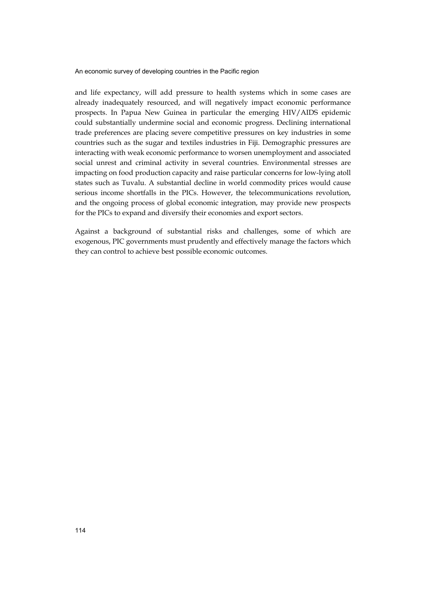and life expectancy, will add pressure to health systems which in some cases are already inadequately resourced, and will negatively impact economic performance prospects. In Papua New Guinea in particular the emerging HIV/AIDS epidemic could substantially undermine social and economic progress. Declining international trade preferences are placing severe competitive pressures on key industries in some countries such as the sugar and textiles industries in Fiji. Demographic pressures are interacting with weak economic performance to worsen unemployment and associated social unrest and criminal activity in several countries. Environmental stresses are impacting on food production capacity and raise particular concerns for low-lying atoll states such as Tuvalu. A substantial decline in world commodity prices would cause serious income shortfalls in the PICs. However, the telecommunications revolution, and the ongoing process of global economic integration, may provide new prospects for the PICs to expand and diversify their economies and export sectors.

Against a background of substantial risks and challenges, some of which are exogenous, PIC governments must prudently and effectively manage the factors which they can control to achieve best possible economic outcomes.